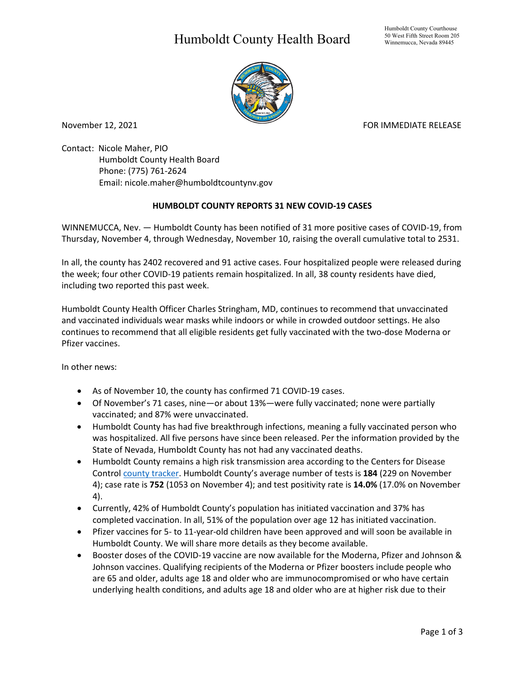## Humboldt County Health Board



November 12, 2021 **FOR IMMEDIATE RELEASE** 

Contact: Nicole Maher, PIO Humboldt County Health Board Phone: (775) 761-2624 Email: nicole.maher@humboldtcountynv.gov

## **HUMBOLDT COUNTY REPORTS 31 NEW COVID-19 CASES**

WINNEMUCCA, Nev. — Humboldt County has been notified of 31 more positive cases of COVID-19, from Thursday, November 4, through Wednesday, November 10, raising the overall cumulative total to 2531.

In all, the county has 2402 recovered and 91 active cases. Four hospitalized people were released during the week; four other COVID-19 patients remain hospitalized. In all, 38 county residents have died, including two reported this past week.

Humboldt County Health Officer Charles Stringham, MD, continues to recommend that unvaccinated and vaccinated individuals wear masks while indoors or while in crowded outdoor settings. He also continues to recommend that all eligible residents get fully vaccinated with the two-dose Moderna or Pfizer vaccines.

In other news:

- As of November 10, the county has confirmed 71 COVID-19 cases.
- Of November's 71 cases, nine—or about 13%—were fully vaccinated; none were partially vaccinated; and 87% were unvaccinated.
- Humboldt County has had five breakthrough infections, meaning a fully vaccinated person who was hospitalized. All five persons have since been released. Per the information provided by the State of Nevada, Humboldt County has not had any vaccinated deaths.
- Humboldt County remains a high risk transmission area according to the Centers for Disease Control [county tracker.](https://covid.cdc.gov/covid-data-tracker/#county-view) Humboldt County's average number of tests is **184** (229 on November 4); case rate is **752** (1053 on November 4); and test positivity rate is **14.0%** (17.0% on November 4).
- Currently, 42% of Humboldt County's population has initiated vaccination and 37% has completed vaccination. In all, 51% of the population over age 12 has initiated vaccination.
- Pfizer vaccines for 5- to 11-year-old children have been approved and will soon be available in Humboldt County. We will share more details as they become available.
- Booster doses of the COVID-19 vaccine are now available for the Moderna, Pfizer and Johnson & Johnson vaccines. Qualifying recipients of the Moderna or Pfizer boosters include people who are 65 and older, adults age 18 and older who are immunocompromised or who have certain underlying health conditions, and adults age 18 and older who are at higher risk due to their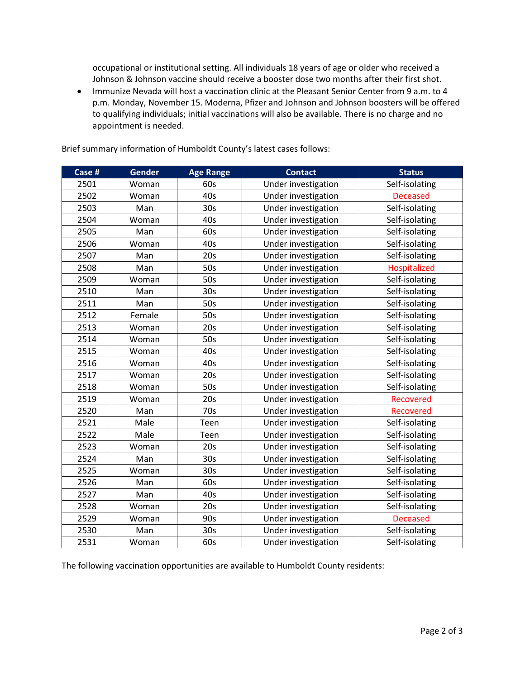occupational or institutional setting. All individuals 18 years of age or older who received a Johnson & Johnson vaccine should receive a booster dose two months after their first shot.

• Immunize Nevada will host a vaccination clinic at the Pleasant Senior Center from 9 a.m. to 4 p.m. Monday, November 15. Moderna, Pfizer and Johnson and Johnson boosters will be offered to qualifying individuals; initial vaccinations will also be available. There is no charge and no appointment is needed.

| Case # | <b>Gender</b> | <b>Age Range</b> | <b>Contact</b>      | <b>Status</b>    |
|--------|---------------|------------------|---------------------|------------------|
| 2501   | Woman         | 60s              | Under investigation | Self-isolating   |
| 2502   | Woman         | 40s              | Under investigation | <b>Deceased</b>  |
| 2503   | Man           | 30 <sub>s</sub>  | Under investigation | Self-isolating   |
| 2504   | Woman         | 40s              | Under investigation | Self-isolating   |
| 2505   | Man           | 60s              | Under investigation | Self-isolating   |
| 2506   | Woman         | 40s              | Under investigation | Self-isolating   |
| 2507   | Man           | 20s              | Under investigation | Self-isolating   |
| 2508   | Man           | 50s              | Under investigation | Hospitalized     |
| 2509   | Woman         | 50s              | Under investigation | Self-isolating   |
| 2510   | Man           | 30 <sub>s</sub>  | Under investigation | Self-isolating   |
| 2511   | Man           | 50s              | Under investigation | Self-isolating   |
| 2512   | Female        | 50s              | Under investigation | Self-isolating   |
| 2513   | Woman         | 20s              | Under investigation | Self-isolating   |
| 2514   | Woman         | 50s              | Under investigation | Self-isolating   |
| 2515   | Woman         | 40s              | Under investigation | Self-isolating   |
| 2516   | Woman         | 40s              | Under investigation | Self-isolating   |
| 2517   | Woman         | 20s              | Under investigation | Self-isolating   |
| 2518   | Woman         | 50s              | Under investigation | Self-isolating   |
| 2519   | Woman         | 20s              | Under investigation | <b>Recovered</b> |
| 2520   | Man           | 70s              | Under investigation | <b>Recovered</b> |
| 2521   | Male          | Teen             | Under investigation | Self-isolating   |
| 2522   | Male          | Teen             | Under investigation | Self-isolating   |
| 2523   | Woman         | 20s              | Under investigation | Self-isolating   |
| 2524   | Man           | 30 <sub>s</sub>  | Under investigation | Self-isolating   |
| 2525   | Woman         | 30 <sub>s</sub>  | Under investigation | Self-isolating   |
| 2526   | Man           | 60s              | Under investigation | Self-isolating   |
| 2527   | Man           | 40s              | Under investigation | Self-isolating   |
| 2528   | Woman         | 20s              | Under investigation | Self-isolating   |
| 2529   | Woman         | 90s              | Under investigation | <b>Deceased</b>  |
| 2530   | Man           | 30 <sub>s</sub>  | Under investigation | Self-isolating   |
| 2531   | Woman         | 60s              | Under investigation | Self-isolating   |

Brief summary information of Humboldt County's latest cases follows:

The following vaccination opportunities are available to Humboldt County residents: